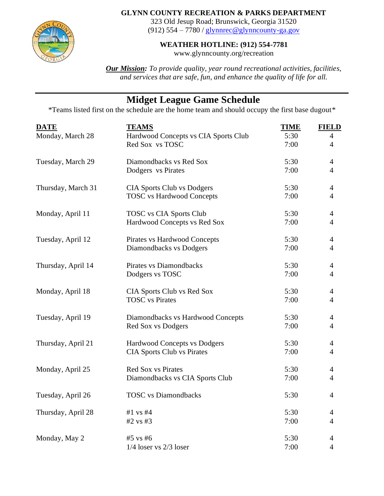

## **GLYNN COUNTY RECREATION & PARKS DEPARTMENT**

323 Old Jesup Road; Brunswick, Georgia 31520 (912)  $554 - 7780$  / [glynnrec@glynncounty-ga.gov](mailto:glynnrec@glynncounty-ga.gov)

## **WEATHER HOTLINE: (912) 554-7781**

www.glynncounty.org/recreation

*Our Mission: To provide quality, year round recreational activities, facilities, and services that are safe, fun, and enhance the quality of life for all.*

## **Midget League Game Schedule**

\*Teams listed first on the schedule are the home team and should occupy the first base dugout\*

| <b>DATE</b>        | <b>TEAMS</b>                         | <b>TIME</b> | <b>FIELD</b>   |
|--------------------|--------------------------------------|-------------|----------------|
| Monday, March 28   | Hardwood Concepts vs CIA Sports Club | 5:30        | $\overline{4}$ |
|                    | Red Sox vs TOSC                      | 7:00        | $\overline{4}$ |
| Tuesday, March 29  | Diamondbacks vs Red Sox              | 5:30        | $\overline{4}$ |
|                    | Dodgers vs Pirates                   | 7:00        | $\overline{4}$ |
| Thursday, March 31 | <b>CIA Sports Club vs Dodgers</b>    | 5:30        | $\overline{4}$ |
|                    | <b>TOSC</b> vs Hardwood Concepts     | 7:00        | $\overline{4}$ |
| Monday, April 11   | <b>TOSC</b> vs CIA Sports Club       | 5:30        | $\overline{4}$ |
|                    | Hardwood Concepts vs Red Sox         | 7:00        | $\overline{4}$ |
| Tuesday, April 12  | Pirates vs Hardwood Concepts         | 5:30        | $\overline{4}$ |
|                    | Diamondbacks vs Dodgers              | 7:00        | $\overline{4}$ |
| Thursday, April 14 | Pirates vs Diamondbacks              | 5:30        | $\overline{4}$ |
|                    | Dodgers vs TOSC                      | 7:00        | $\overline{4}$ |
| Monday, April 18   | CIA Sports Club vs Red Sox           | 5:30        | $\overline{4}$ |
|                    | <b>TOSC</b> vs Pirates               | 7:00        | $\overline{4}$ |
| Tuesday, April 19  | Diamondbacks vs Hardwood Concepts    | 5:30        | 4              |
|                    | Red Sox vs Dodgers                   | 7:00        | 4              |
| Thursday, April 21 | <b>Hardwood Concepts vs Dodgers</b>  | 5:30        | 4              |
|                    | <b>CIA Sports Club vs Pirates</b>    | 7:00        | 4              |
| Monday, April 25   | <b>Red Sox vs Pirates</b>            | 5:30        | 4              |
|                    | Diamondbacks vs CIA Sports Club      | 7:00        | $\overline{4}$ |
| Tuesday, April 26  | <b>TOSC</b> vs Diamondbacks          | 5:30        | $\overline{4}$ |
| Thursday, April 28 | $#1$ vs $#4$                         | 5:30        | 4              |
|                    | $#2$ vs $#3$                         | 7:00        | $\overline{4}$ |
| Monday, May 2      | #5 vs #6                             | 5:30        | $\overline{4}$ |
|                    | $1/4$ loser vs $2/3$ loser           | 7:00        | $\overline{4}$ |